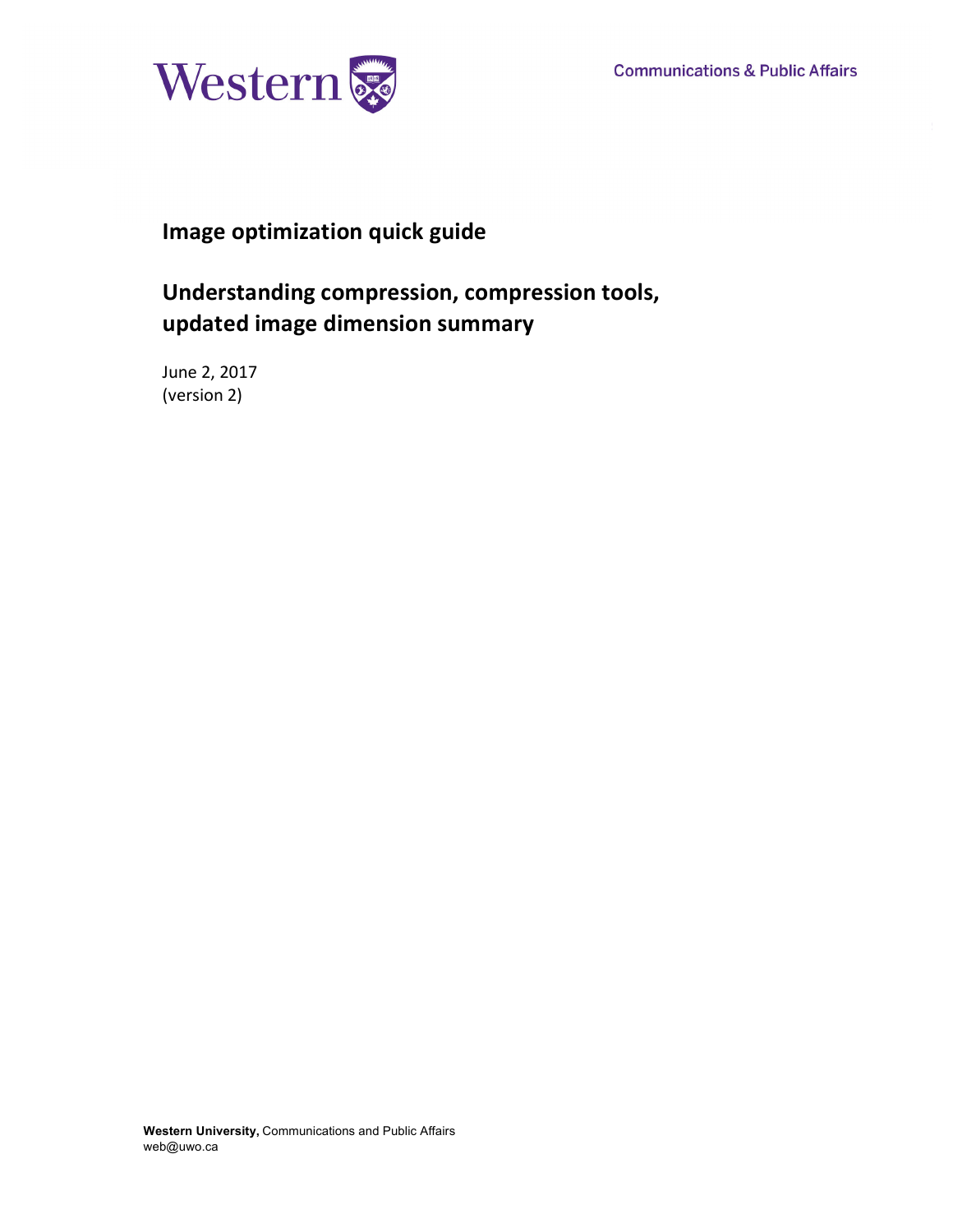

# **Image optimization quick guide**

# **Understanding compression, compression tools, updated image dimension summary**

June 2, 2017 (version 2)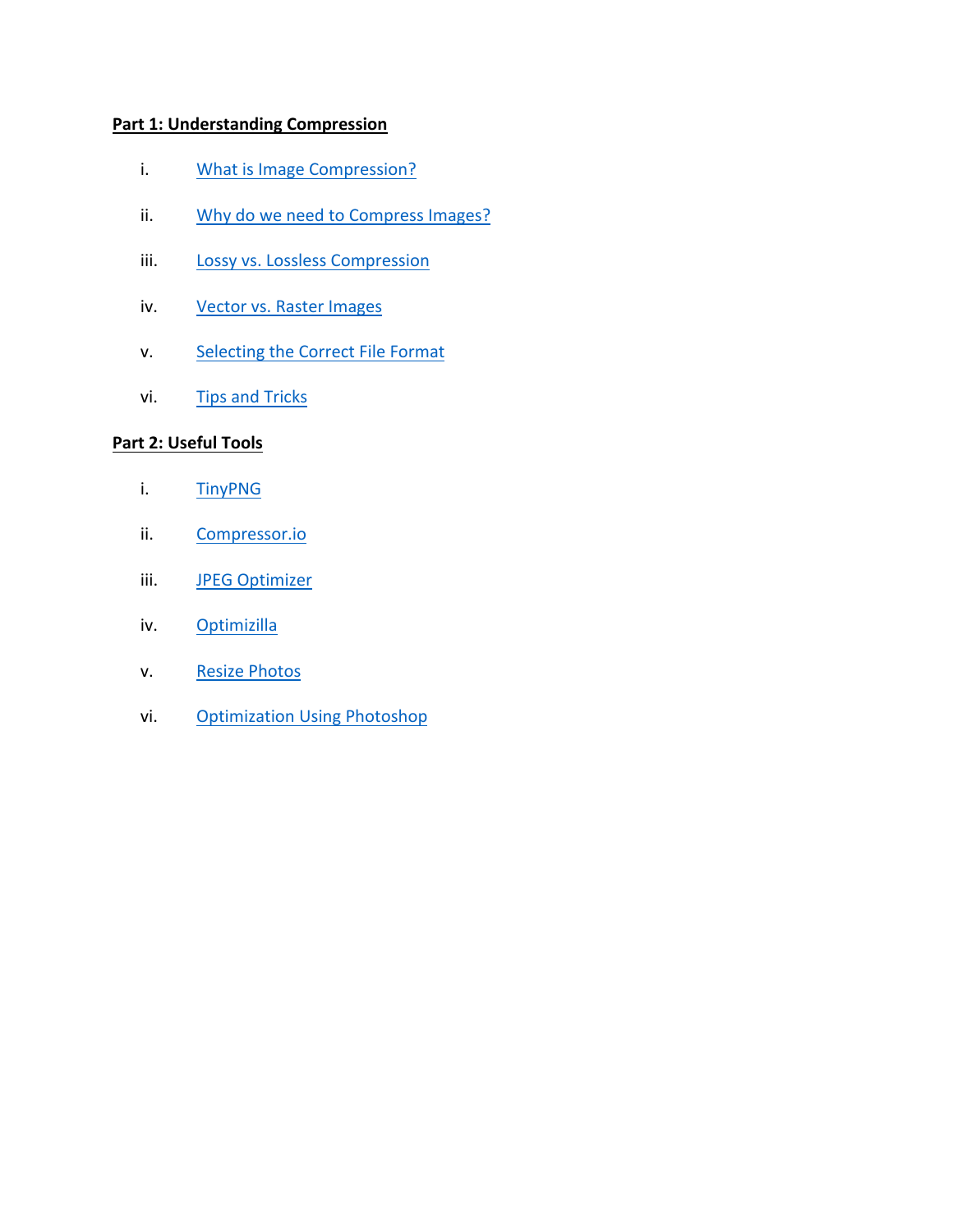# **Part 1: Understanding Compression**

- i. What is Image Compression?
- ii. Why do we need to Compress Images?
- iii. Lossy vs. Lossless Compression
- iv. Vector vs. Raster Images
- v. Selecting the Correct File Format
- vi. Tips and Tricks

### **Part 2: Useful Tools**

- i. TinyPNG
- ii. Compressor.io
- iii. JPEG Optimizer
- iv. Optimizilla
- v. Resize Photos
- vi. Optimization Using Photoshop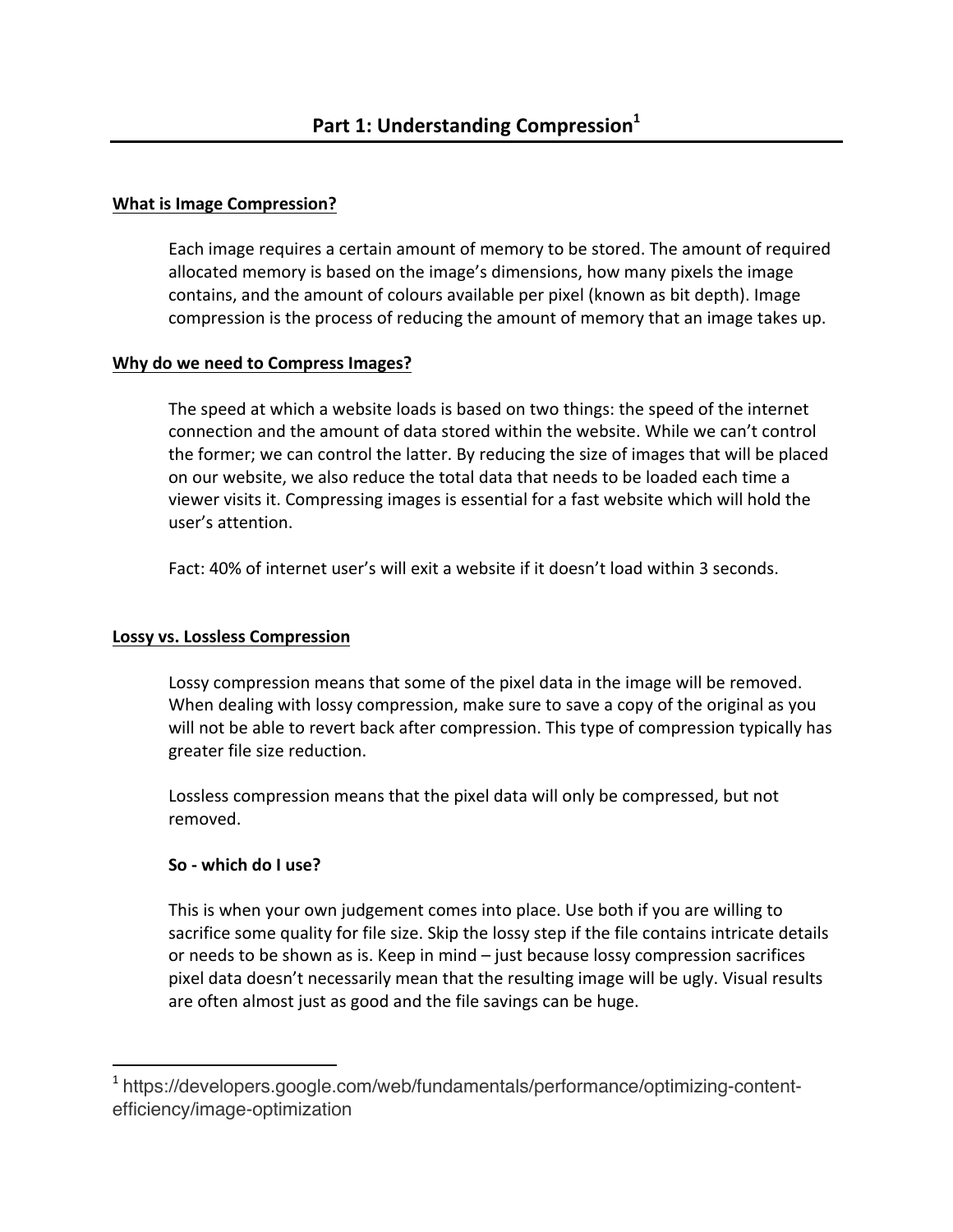# **What is Image Compression?**

Each image requires a certain amount of memory to be stored. The amount of required allocated memory is based on the image's dimensions, how many pixels the image contains, and the amount of colours available per pixel (known as bit depth). Image compression is the process of reducing the amount of memory that an image takes up.

# **Why do we need to Compress Images?**

The speed at which a website loads is based on two things: the speed of the internet connection and the amount of data stored within the website. While we can't control the former; we can control the latter. By reducing the size of images that will be placed on our website, we also reduce the total data that needs to be loaded each time a viewer visits it. Compressing images is essential for a fast website which will hold the user's attention.

Fact: 40% of internet user's will exit a website if it doesn't load within 3 seconds.

# **Lossy vs. Lossless Compression**

Lossy compression means that some of the pixel data in the image will be removed. When dealing with lossy compression, make sure to save a copy of the original as you will not be able to revert back after compression. This type of compression typically has greater file size reduction.

Lossless compression means that the pixel data will only be compressed, but not removed. 

# **So - which do I use?**

 

This is when your own judgement comes into place. Use both if you are willing to sacrifice some quality for file size. Skip the lossy step if the file contains intricate details or needs to be shown as is. Keep in mind  $-$  just because lossy compression sacrifices pixel data doesn't necessarily mean that the resulting image will be ugly. Visual results are often almost just as good and the file savings can be huge.

<sup>&</sup>lt;sup>1</sup> https://developers.google.com/web/fundamentals/performance/optimizing-contentefficiency/image-optimization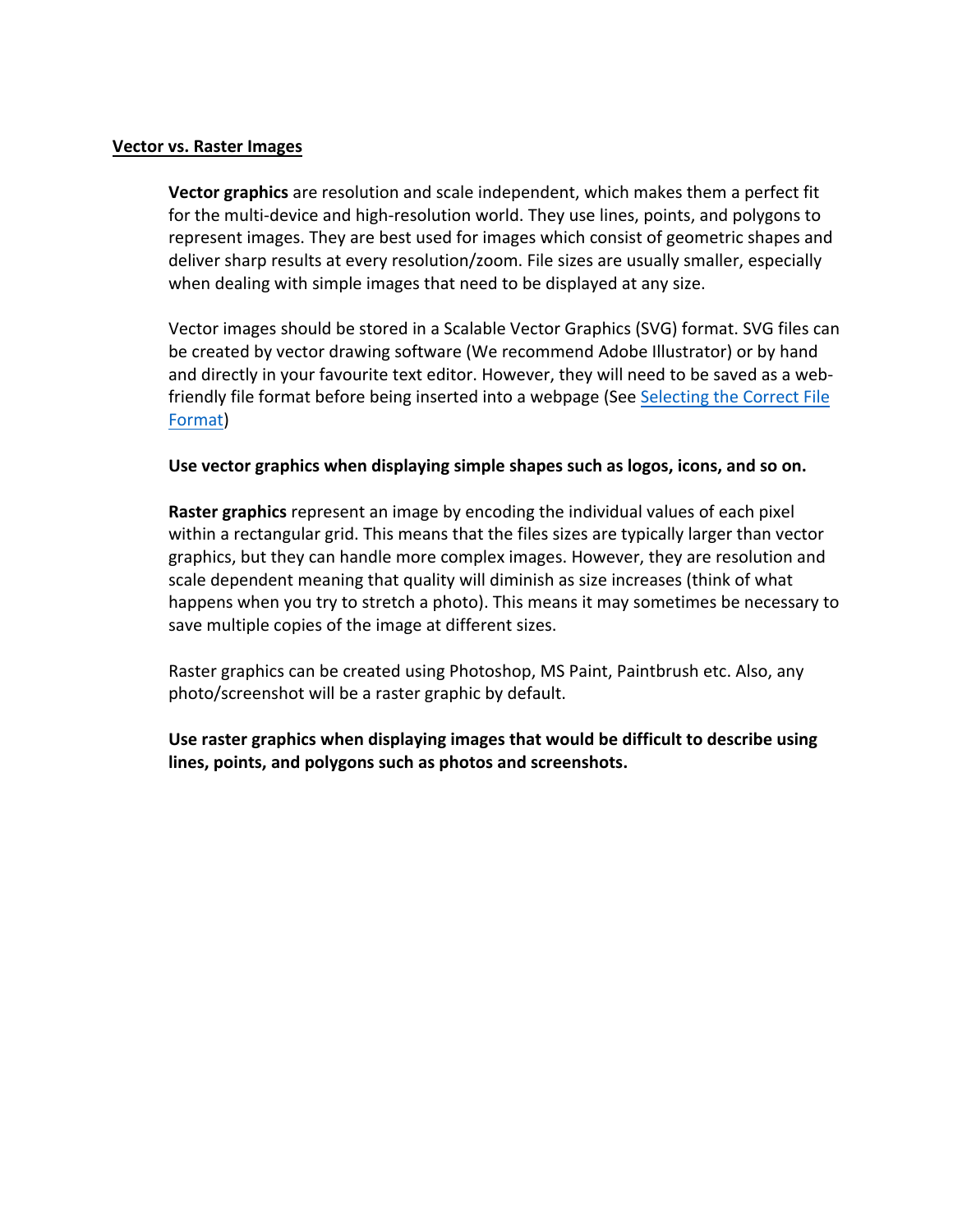### **Vector vs. Raster Images**

**Vector graphics** are resolution and scale independent, which makes them a perfect fit for the multi-device and high-resolution world. They use lines, points, and polygons to represent images. They are best used for images which consist of geometric shapes and deliver sharp results at every resolution/zoom. File sizes are usually smaller, especially when dealing with simple images that need to be displayed at any size.

Vector images should be stored in a Scalable Vector Graphics (SVG) format. SVG files can be created by vector drawing software (We recommend Adobe Illustrator) or by hand and directly in your favourite text editor. However, they will need to be saved as a webfriendly file format before being inserted into a webpage (See Selecting the Correct File Format)

### Use vector graphics when displaying simple shapes such as logos, icons, and so on.

**Raster graphics** represent an image by encoding the individual values of each pixel within a rectangular grid. This means that the files sizes are typically larger than vector graphics, but they can handle more complex images. However, they are resolution and scale dependent meaning that quality will diminish as size increases (think of what happens when you try to stretch a photo). This means it may sometimes be necessary to save multiple copies of the image at different sizes.

Raster graphics can be created using Photoshop, MS Paint, Paintbrush etc. Also, any photo/screenshot will be a raster graphic by default.

Use raster graphics when displaying images that would be difficult to describe using lines, points, and polygons such as photos and screenshots.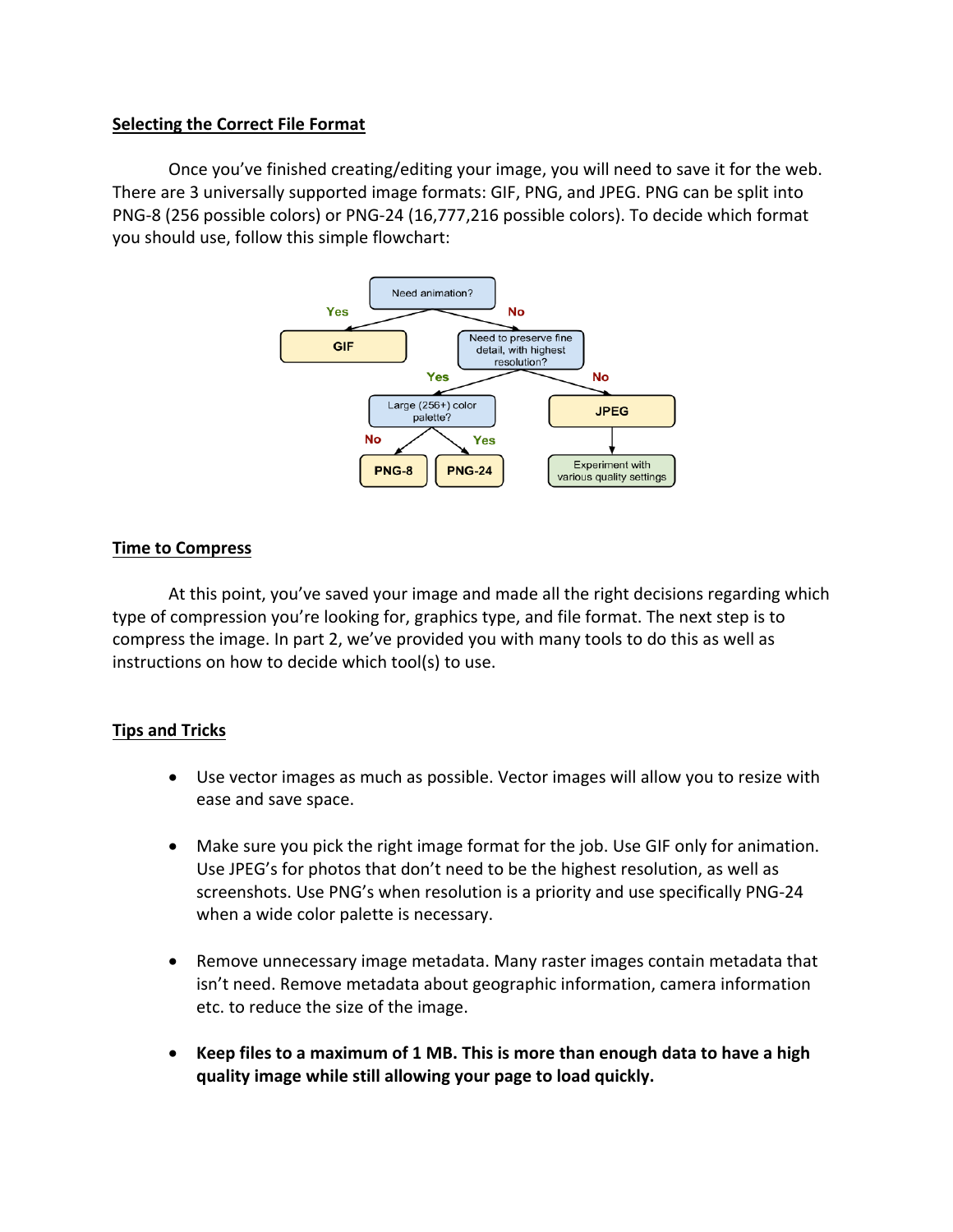# **Selecting the Correct File Format**

Once you've finished creating/editing your image, you will need to save it for the web. There are 3 universally supported image formats: GIF, PNG, and JPEG. PNG can be split into PNG-8 (256 possible colors) or PNG-24 (16,777,216 possible colors). To decide which format you should use, follow this simple flowchart:



# **Time to Compress**

At this point, you've saved your image and made all the right decisions regarding which type of compression you're looking for, graphics type, and file format. The next step is to compress the image. In part 2, we've provided you with many tools to do this as well as instructions on how to decide which tool(s) to use.

# **Tips and Tricks**

- Use vector images as much as possible. Vector images will allow you to resize with ease and save space.
- Make sure you pick the right image format for the job. Use GIF only for animation. Use JPEG's for photos that don't need to be the highest resolution, as well as screenshots. Use PNG's when resolution is a priority and use specifically PNG-24 when a wide color palette is necessary.
- Remove unnecessary image metadata. Many raster images contain metadata that isn't need. Remove metadata about geographic information, camera information etc. to reduce the size of the image.
- Keep files to a maximum of 1 MB. This is more than enough data to have a high quality image while still allowing your page to load quickly.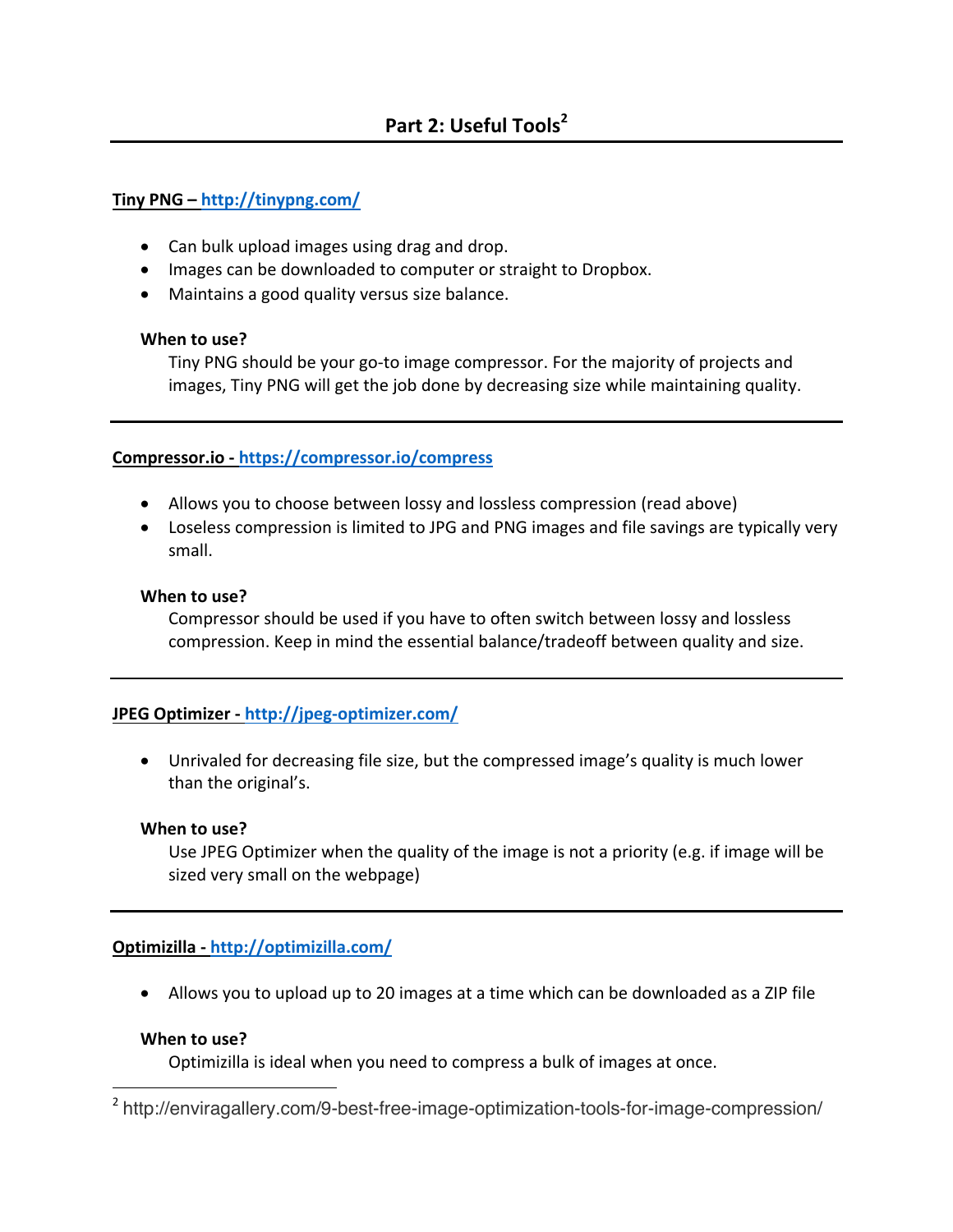# **Tiny PNG – http://tinypng.com/**

- Can bulk upload images using drag and drop.
- Images can be downloaded to computer or straight to Dropbox.
- Maintains a good quality versus size balance.

### **When to use?**

Tiny PNG should be your go-to image compressor. For the majority of projects and images, Tiny PNG will get the job done by decreasing size while maintaining quality.

# **Compressor.io - https://compressor.io/compress**

- Allows you to choose between lossy and lossless compression (read above)
- Loseless compression is limited to JPG and PNG images and file savings are typically very small.

### **When to use?**

Compressor should be used if you have to often switch between lossy and lossless compression. Keep in mind the essential balance/tradeoff between quality and size.

# **JPEG Optimizer - http://jpeg-optimizer.com/**

• Unrivaled for decreasing file size, but the compressed image's quality is much lower than the original's.

### **When to use?**

Use JPEG Optimizer when the quality of the image is not a priority (e.g. if image will be sized very small on the webpage)

# **Optimizilla - http://optimizilla.com/**

• Allows you to upload up to 20 images at a time which can be downloaded as a ZIP file

# **When to use?**

 

Optimizilla is ideal when you need to compress a bulk of images at once.

<sup>2</sup> http://enviragallery.com/9-best-free-image-optimization-tools-for-image-compression/